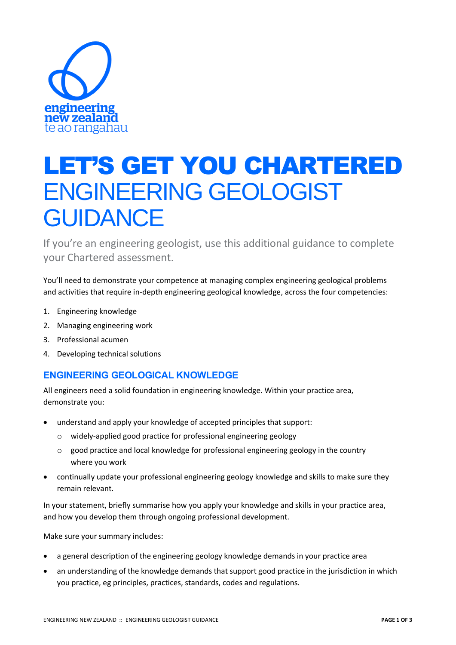

# LET'S GET YOU CHARTERED ENGINEERING GEOLOGIST **GUIDANCE**

If you're an engineering geologist, use this additional guidance to complete your Chartered assessment.

You'll need to demonstrate your competence at managing complex engineering geological problems and activities that require in-depth engineering geological knowledge, across the four competencies:

- 1. Engineering knowledge
- 2. Managing engineering work
- 3. Professional acumen
- 4. Developing technical solutions

## **ENGINEERING GEOLOGICAL KNOWLEDGE**

All engineers need a solid foundation in engineering knowledge. Within your practice area, demonstrate you:

- understand and apply your knowledge of accepted principles that support:
	- o widely-applied good practice for professional engineering geology
	- o good practice and local knowledge for professional engineering geology in the country where you work
- continually update your professional engineering geology knowledge and skills to make sure they remain relevant.

In your statement, briefly summarise how you apply your knowledge and skills in your practice area, and how you develop them through ongoing professional development.

Make sure your summary includes:

- a general description of the engineering geology knowledge demands in your practice area
- an understanding of the knowledge demands that support good practice in the jurisdiction in which you practice, eg principles, practices, standards, codes and regulations.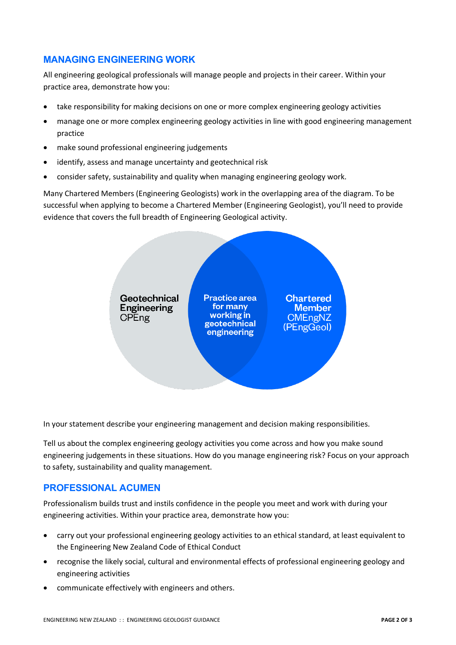### **MANAGING ENGINEERING WORK**

All engineering geological professionals will manage people and projects in their career. Within your practice area, demonstrate how you:

- take responsibility for making decisions on one or more complex engineering geology activities
- manage one or more complex engineering geology activities in line with good engineering management practice
- make sound professional engineering judgements
- identify, assess and manage uncertainty and geotechnical risk
- consider safety, sustainability and quality when managing engineering geology work.

Many Chartered Members (Engineering Geologists) work in the overlapping area of the diagram. To be successful when applying to become a Chartered Member (Engineering Geologist), you'll need to provide evidence that covers the full breadth of Engineering Geological activity.



In your statement describe your engineering management and decision making responsibilities.

Tell us about the complex engineering geology activities you come across and how you make sound engineering judgements in these situations. How do you manage engineering risk? Focus on your approach to safety, sustainability and quality management.

#### **PROFESSIONAL ACUMEN**

Professionalism builds trust and instils confidence in the people you meet and work with during your engineering activities. Within your practice area, demonstrate how you:

- carry out your professional engineering geology activities to an ethical standard, at least equivalent to the Engineering New Zealand Code of Ethical Conduct
- recognise the likely social, cultural and environmental effects of professional engineering geology and engineering activities
- communicate effectively with engineers and others.